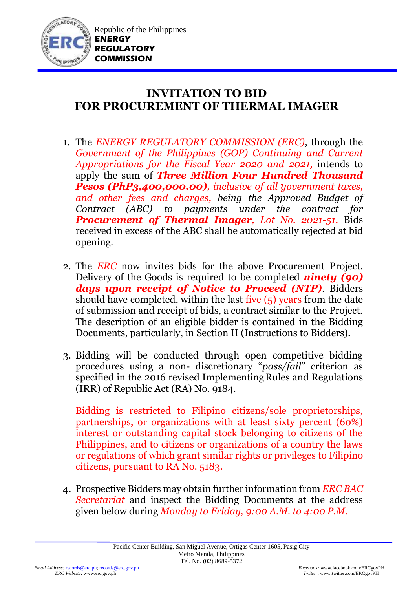

## **INVITATION TO BID FOR PROCUREMENT OF THERMAL IMAGER**

- 1. The *ENERGY REGULATORY COMMISSION (ERC)*, through the *Government of the Philippines (GOP) Continuing and Current Appropriations for the Fiscal Year 2020 and 2021,* intends to apply the sum of *Three Million Four Hundred Thousand Pesos (PhP3,400,000.00), inclusive of all government taxes, and other fees and charges, being the Approved Budget of Contract (ABC) to payments under the contract for Procurement of Thermal Imager, Lot No. 2021-51.* Bids received in excess of the ABC shall be automatically rejected at bid opening.
- 2. The *ERC* now invites bids for the above Procurement Project. Delivery of the Goods is required to be completed *ninety (90) days upon receipt of Notice to Proceed (NTP)*. Bidders should have completed, within the last five (5) years from the date of submission and receipt of bids, a contract similar to the Project. The description of an eligible bidder is contained in the Bidding Documents, particularly, in Section II (Instructions to Bidders).
- 3. Bidding will be conducted through open competitive bidding procedures using a non- discretionary "*pass/fail*" criterion as specified in the 2016 revised Implementing Rules and Regulations (IRR) of Republic Act (RA) No. 9184.

Bidding is restricted to Filipino citizens/sole proprietorships, partnerships, or organizations with at least sixty percent (60%) interest or outstanding capital stock belonging to citizens of the Philippines, and to citizens or organizations of a country the laws or regulations of which grant similar rights or privileges to Filipino citizens, pursuant to RA No. 5183.

4. Prospective Bidders may obtain further information from *ERC BAC Secretariat* and inspect the Bidding Documents at the address given below during *Monday to Friday, 9:00 A.M. to 4:00 P.M*.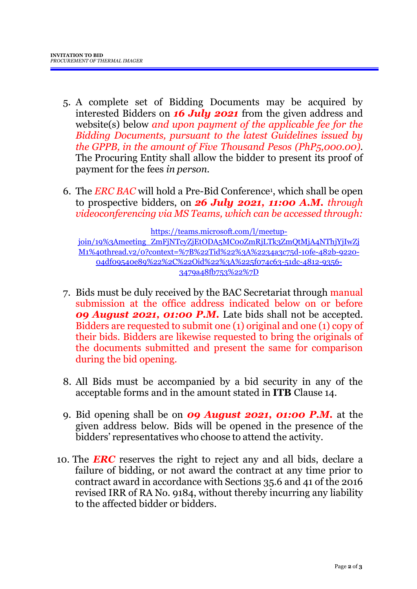- 5. A complete set of Bidding Documents may be acquired by interested Bidders on *16 July 2021* from the given address and website(s) below *and upon payment of the applicable fee for the Bidding Documents, pursuant to the latest Guidelines issued by the GPPB, in the amount of Five Thousand Pesos (PhP5,000.00)*. The Procuring Entity shall allow the bidder to present its proof of payment for the fees *in person.*
- 6. The *ERC BAC* will hold a Pre-Bid Conference<sup>1</sup> , which shall be open to prospective bidders, on *26 July 2021, 11:00 A.M. through videoconferencing via MS Teams, which can be accessed through:*

[https://teams.microsoft.com/l/meetup](https://teams.microsoft.com/l/meetup-join/19%3Ameeting_ZmFjNTcyZjEtODA5MC00ZmRjLTk3ZmQtMjA4NThjYjIwZjM1%40thread.v2/0?context=%7B%22Tid%22%3A%2234a3c75d-10fe-482b-9220-04df09540e89%22%2C%22Oid%22%3A%225f074c63-51dc-4812-9356-3479a48fb753%22%7D)join/19%3Ameeting\_ZmFjNTcyZjEtODA5MC00ZmRjLTk3ZmOtMjA4NThjYjIwZj [M1%40thread.v2/0?context=%7B%22Tid%22%3A%2234a3c75d-10fe-482b-9220-](https://teams.microsoft.com/l/meetup-join/19%3Ameeting_ZmFjNTcyZjEtODA5MC00ZmRjLTk3ZmQtMjA4NThjYjIwZjM1%40thread.v2/0?context=%7B%22Tid%22%3A%2234a3c75d-10fe-482b-9220-04df09540e89%22%2C%22Oid%22%3A%225f074c63-51dc-4812-9356-3479a48fb753%22%7D) [04df09540e89%22%2C%22Oid%22%3A%225f074c63-51dc-4812-9356-](https://teams.microsoft.com/l/meetup-join/19%3Ameeting_ZmFjNTcyZjEtODA5MC00ZmRjLTk3ZmQtMjA4NThjYjIwZjM1%40thread.v2/0?context=%7B%22Tid%22%3A%2234a3c75d-10fe-482b-9220-04df09540e89%22%2C%22Oid%22%3A%225f074c63-51dc-4812-9356-3479a48fb753%22%7D) [3479a48fb753%22%7D](https://teams.microsoft.com/l/meetup-join/19%3Ameeting_ZmFjNTcyZjEtODA5MC00ZmRjLTk3ZmQtMjA4NThjYjIwZjM1%40thread.v2/0?context=%7B%22Tid%22%3A%2234a3c75d-10fe-482b-9220-04df09540e89%22%2C%22Oid%22%3A%225f074c63-51dc-4812-9356-3479a48fb753%22%7D)

- 7. Bids must be duly received by the BAC Secretariat through manual submission at the office address indicated below on or before *09 August 2021, 01:00 P.M.* Late bids shall not be accepted. Bidders are requested to submit one (1) original and one (1) copy of their bids. Bidders are likewise requested to bring the originals of the documents submitted and present the same for comparison during the bid opening.
- 8. All Bids must be accompanied by a bid security in any of the acceptable forms and in the amount stated in **ITB** Clause 14.
- 9. Bid opening shall be on *09 August 2021, 01:00 P.M.* at the given address below. Bids will be opened in the presence of the bidders' representatives who choose to attend the activity.
- 10. The *ERC* reserves the right to reject any and all bids, declare a failure of bidding, or not award the contract at any time prior to contract award in accordance with Sections 35.6 and 41 of the 2016 revised IRR of RA No. 9184, without thereby incurring any liability to the affected bidder or bidders.